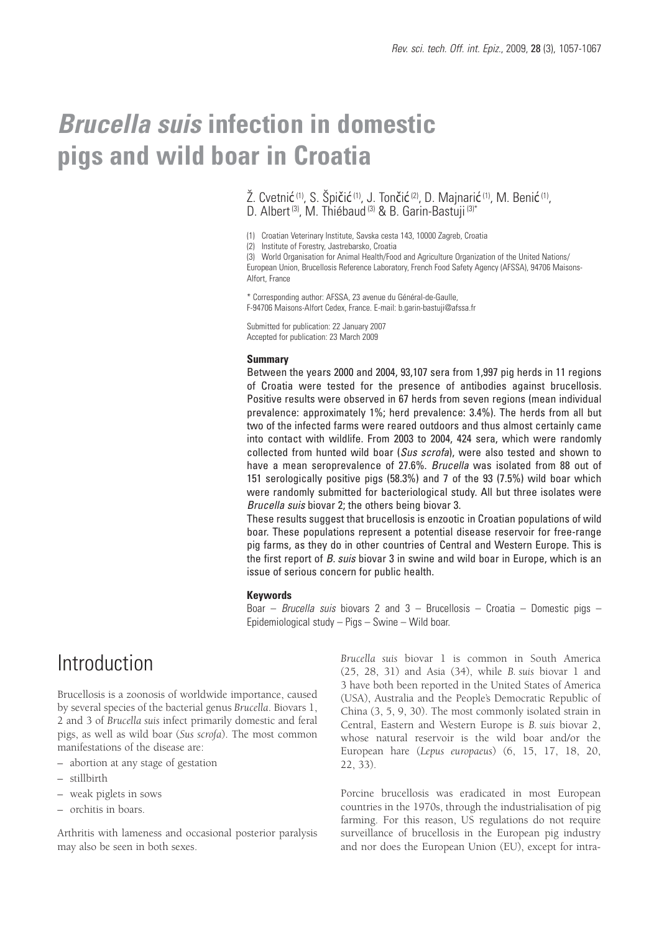# *Brucella suis* **infection in domestic pigs and wild boar in Croatia**

Ž. Cvetnić <sup>(1)</sup>, S. Špičić <sup>(1)</sup>, J. Tončić <sup>(2)</sup>, D. Majnarić <sup>(1)</sup>, M. Benić <sup>(1)</sup>, D. Albert<sup>(3)</sup>, M. Thiébaud<sup>(3)</sup> & B. Garin-Bastuji<sup>(3)\*</sup>

(1) Croatian Veterinary Institute, Savska cesta 143, 10000 Zagreb, Croatia

(2) Institute of Forestry, Jastrebarsko, Croatia

(3) World Organisation for Animal Health/Food and Agriculture Organization of the United Nations/ European Union, Brucellosis Reference Laboratory, French Food Safety Agency (AFSSA), 94706 Maisons-Alfort, France

\* Corresponding author: AFSSA, 23 avenue du Général-de-Gaulle, F-94706 Maisons-Alfort Cedex, France. E-mail: b.garin-bastuji@afssa.fr

Submitted for publication: 22 January 2007 Accepted for publication: 23 March 2009

#### **Summary**

Between the years 2000 and 2004, 93,107 sera from 1,997 pig herds in 11 regions of Croatia were tested for the presence of antibodies against brucellosis. Positive results were observed in 67 herds from seven regions (mean individual prevalence: approximately 1%; herd prevalence: 3.4%). The herds from all but two of the infected farms were reared outdoors and thus almost certainly came into contact with wildlife. From 2003 to 2004, 424 sera, which were randomly collected from hunted wild boar (*Sus scrofa*), were also tested and shown to have a mean seroprevalence of 27.6%. *Brucella* was isolated from 88 out of 151 serologically positive pigs (58.3%) and 7 of the 93 (7.5%) wild boar which were randomly submitted for bacteriological study. All but three isolates were *Brucella suis* biovar 2; the others being biovar 3.

These results suggest that brucellosis is enzootic in Croatian populations of wild boar. These populations represent a potential disease reservoir for free-range pig farms, as they do in other countries of Central and Western Europe. This is the first report of *B. suis* biovar 3 in swine and wild boar in Europe, which is an issue of serious concern for public health.

#### **Keywords**

Boar – *Brucella suis* biovars 2 and 3 – Brucellosis – Croatia – Domestic pigs – Epidemiological study – Pigs – Swine – Wild boar.

## Introduction

Brucellosis is a zoonosis of worldwide importance, caused by several species of the bacterial genus *Brucella*. Biovars 1, 2 and 3 of *Brucella suis* infect primarily domestic and feral pigs, as well as wild boar (*Sus scrofa*). The most common manifestations of the disease are:

- abortion at any stage of gestation
- stillbirth
- weak piglets in sows
- orchitis in boars.

Arthritis with lameness and occasional posterior paralysis may also be seen in both sexes.

*Brucella suis* biovar 1 is common in South America (25, 28, 31) and Asia (34), while *B. suis* biovar 1 and 3 have both been reported in the United States of America (USA), Australia and the People's Democratic Republic of China (3, 5, 9, 30). The most commonly isolated strain in Central, Eastern and Western Europe is *B. suis* biovar 2, whose natural reservoir is the wild boar and/or the European hare (*Lepus europaeus*) (6, 15, 17, 18, 20, 22, 33).

Porcine brucellosis was eradicated in most European countries in the 1970s, through the industrialisation of pig farming. For this reason, US regulations do not require surveillance of brucellosis in the European pig industry and nor does the European Union (EU), except for intra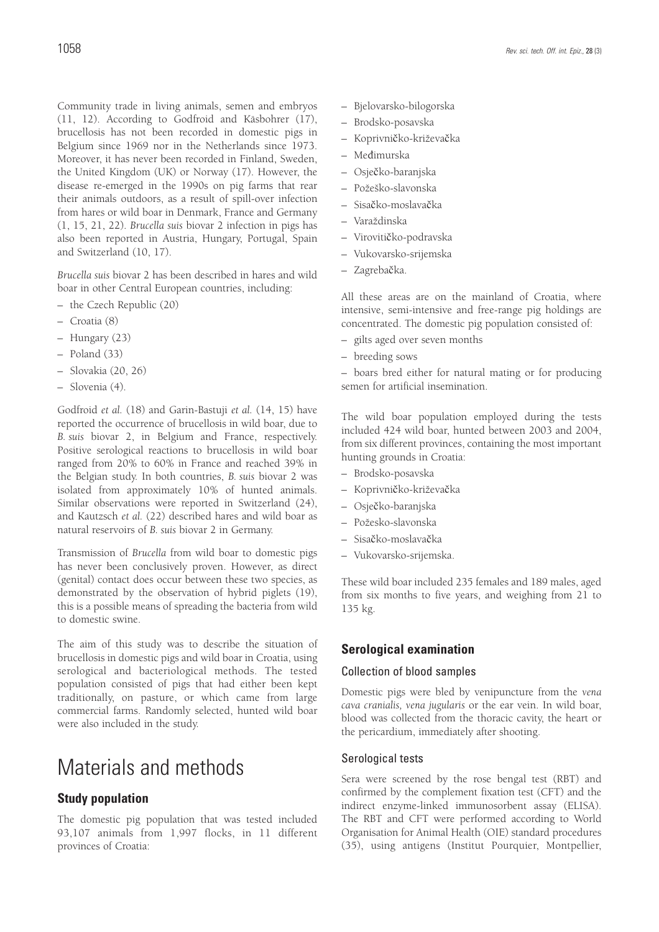Community trade in living animals, semen and embryos (11, 12). According to Godfroid and Käsbohrer (17), brucellosis has not been recorded in domestic pigs in Belgium since 1969 nor in the Netherlands since 1973. Moreover, it has never been recorded in Finland, Sweden, the United Kingdom (UK) or Norway (17). However, the disease re-emerged in the 1990s on pig farms that rear their animals outdoors, as a result of spill-over infection from hares or wild boar in Denmark, France and Germany (1, 15, 21, 22). *Brucella suis* biovar 2 infection in pigs has also been reported in Austria, Hungary, Portugal, Spain and Switzerland (10, 17).

*Brucella suis* biovar 2 has been described in hares and wild boar in other Central European countries, including:

- the Czech Republic (20)
- Croatia (8)
- Hungary (23)
- Poland (33)
- Slovakia (20, 26)
- Slovenia (4).

Godfroid *et al.* (18) and Garin-Bastuji *et al.* (14, 15) have reported the occurrence of brucellosis in wild boar, due to *B. suis* biovar 2, in Belgium and France, respectively. Positive serological reactions to brucellosis in wild boar ranged from 20% to 60% in France and reached 39% in the Belgian study. In both countries, *B. suis* biovar 2 was isolated from approximately 10% of hunted animals. Similar observations were reported in Switzerland (24), and Kautzsch *et al.* (22) described hares and wild boar as natural reservoirs of *B. suis* biovar 2 in Germany.

Transmission of *Brucella* from wild boar to domestic pigs has never been conclusively proven. However, as direct (genital) contact does occur between these two species, as demonstrated by the observation of hybrid piglets (19), this is a possible means of spreading the bacteria from wild to domestic swine.

The aim of this study was to describe the situation of brucellosis in domestic pigs and wild boar in Croatia, using serological and bacteriological methods. The tested population consisted of pigs that had either been kept traditionally, on pasture, or which came from large commercial farms. Randomly selected, hunted wild boar were also included in the study.

## Materials and methods

#### **Study population**

The domestic pig population that was tested included 93,107 animals from 1,997 flocks, in 11 different provinces of Croatia:

- Bjelovarsko-bilogorska
- Brodsko-posavska
- Koprivničko-križevačka
- Međimurska
- Osječko-baranjska
- Požeško-slavonska
- Sisačko-moslavačka
- Varaždinska
- Virovitičko-podravska
- Vukovarsko-srijemska
- Zagrebačka.

All these areas are on the mainland of Croatia, where intensive, semi-intensive and free-range pig holdings are concentrated. The domestic pig population consisted of:

- gilts aged over seven months
- breeding sows

– boars bred either for natural mating or for producing semen for artificial insemination.

The wild boar population employed during the tests included 424 wild boar, hunted between 2003 and 2004, from six different provinces, containing the most important hunting grounds in Croatia:

- Brodsko-posavska
- Koprivničko-križevačka
- Osječko-baranjska
- Požesko-slavonska
- Sisačko-moslavačka
- Vukovarsko-srijemska.

These wild boar included 235 females and 189 males, aged from six months to five years, and weighing from 21 to 135 kg.

#### **Serological examination**

#### Collection of blood samples

Domestic pigs were bled by venipuncture from the *vena cava cranialis, vena jugularis* or the ear vein. In wild boar, blood was collected from the thoracic cavity, the heart or the pericardium, immediately after shooting.

#### Serological tests

Sera were screened by the rose bengal test (RBT) and confirmed by the complement fixation test (CFT) and the indirect enzyme-linked immunosorbent assay (ELISA). The RBT and CFT were performed according to World Organisation for Animal Health (OIE) standard procedures (35), using antigens (Institut Pourquier, Montpellier,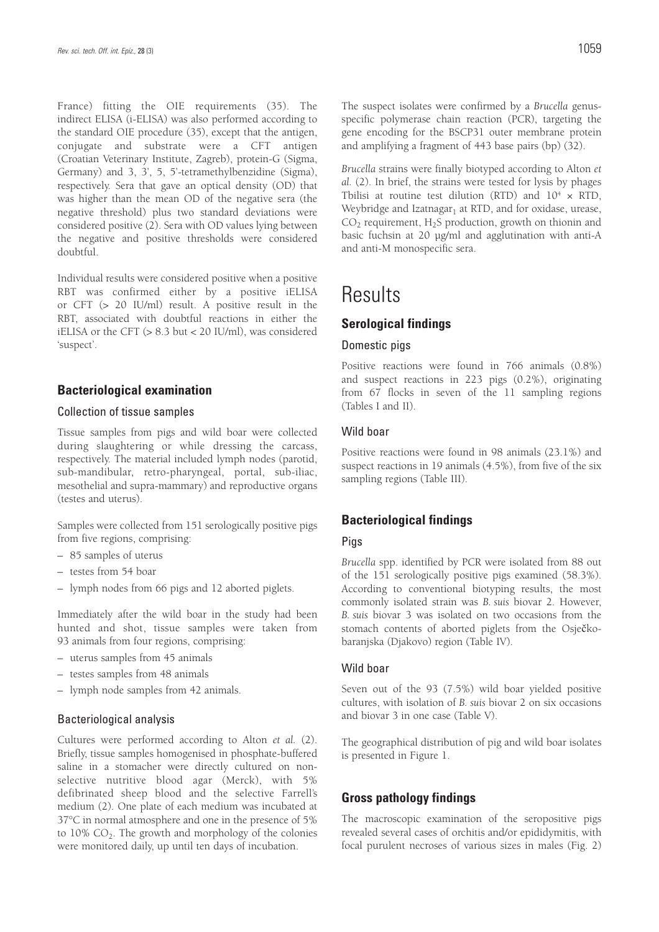France) fitting the OIE requirements (35). The indirect ELISA (i-ELISA) was also performed according to the standard OIE procedure (35), except that the antigen, conjugate and substrate were a CFT antigen (Croatian Veterinary Institute, Zagreb), protein-G (Sigma, Germany) and 3, 3', 5, 5'-tetramethylbenzidine (Sigma), respectively. Sera that gave an optical density (OD) that was higher than the mean OD of the negative sera (the negative threshold) plus two standard deviations were considered positive (2). Sera with OD values lying between the negative and positive thresholds were considered doubtful.

Individual results were considered positive when a positive RBT was confirmed either by a positive iELISA or CFT (> 20 IU/ml) result. A positive result in the RBT, associated with doubtful reactions in either the iELISA or the CFT (> 8.3 but < 20 IU/ml), was considered 'suspect'.

#### **Bacteriological examination**

#### Collection of tissue samples

Tissue samples from pigs and wild boar were collected during slaughtering or while dressing the carcass, respectively. The material included lymph nodes (parotid, sub-mandibular, retro-pharyngeal, portal, sub-iliac, mesothelial and supra-mammary) and reproductive organs (testes and uterus).

Samples were collected from 151 serologically positive pigs from five regions, comprising:

- 85 samples of uterus
- testes from 54 boar
- lymph nodes from 66 pigs and 12 aborted piglets.

Immediately after the wild boar in the study had been hunted and shot, tissue samples were taken from 93 animals from four regions, comprising:

- uterus samples from 45 animals
- testes samples from 48 animals
- lymph node samples from 42 animals.

#### Bacteriological analysis

Cultures were performed according to Alton *et al.* (2). Briefly, tissue samples homogenised in phosphate-buffered saline in a stomacher were directly cultured on nonselective nutritive blood agar (Merck), with 5% defibrinated sheep blood and the selective Farrell's medium (2). One plate of each medium was incubated at 37°C in normal atmosphere and one in the presence of 5% to  $10\%$  CO<sub>2</sub>. The growth and morphology of the colonies were monitored daily, up until ten days of incubation.

The suspect isolates were confirmed by a *Brucella* genusspecific polymerase chain reaction (PCR), targeting the gene encoding for the BSCP31 outer membrane protein and amplifying a fragment of 443 base pairs (bp) (32).

*Brucella* strains were finally biotyped according to Alton *et al.* (2). In brief, the strains were tested for lysis by phages Tbilisi at routine test dilution (RTD) and  $10^4 \times$  RTD, Weybridge and Izatnagar<sub>1</sub> at RTD, and for oxidase, urease,  $CO<sub>2</sub>$  requirement, H<sub>2</sub>S production, growth on thionin and basic fuchsin at 20 μg/ml and agglutination with anti-A and anti-M monospecific sera.

## **Results**

#### **Serological findings**

#### Domestic pigs

Positive reactions were found in 766 animals (0.8%) and suspect reactions in 223 pigs (0.2%), originating from 67 flocks in seven of the 11 sampling regions (Tables I and II).

#### Wild boar

Positive reactions were found in 98 animals (23.1%) and suspect reactions in 19 animals (4.5%), from five of the six sampling regions (Table III).

#### **Bacteriological findings**

#### Pigs

*Brucella* spp. identified by PCR were isolated from 88 out of the 151 serologically positive pigs examined (58.3%). According to conventional biotyping results, the most commonly isolated strain was *B. suis* biovar 2. However, *B. suis* biovar 3 was isolated on two occasions from the stomach contents of aborted piglets from the Osječkobaranjska (Djakovo) region (Table IV).

#### Wild boar

Seven out of the 93 (7.5%) wild boar yielded positive cultures, with isolation of *B. suis* biovar 2 on six occasions and biovar 3 in one case (Table V).

The geographical distribution of pig and wild boar isolates is presented in Figure 1.

#### **Gross pathology findings**

The macroscopic examination of the seropositive pigs revealed several cases of orchitis and/or epididymitis, with focal purulent necroses of various sizes in males (Fig. 2)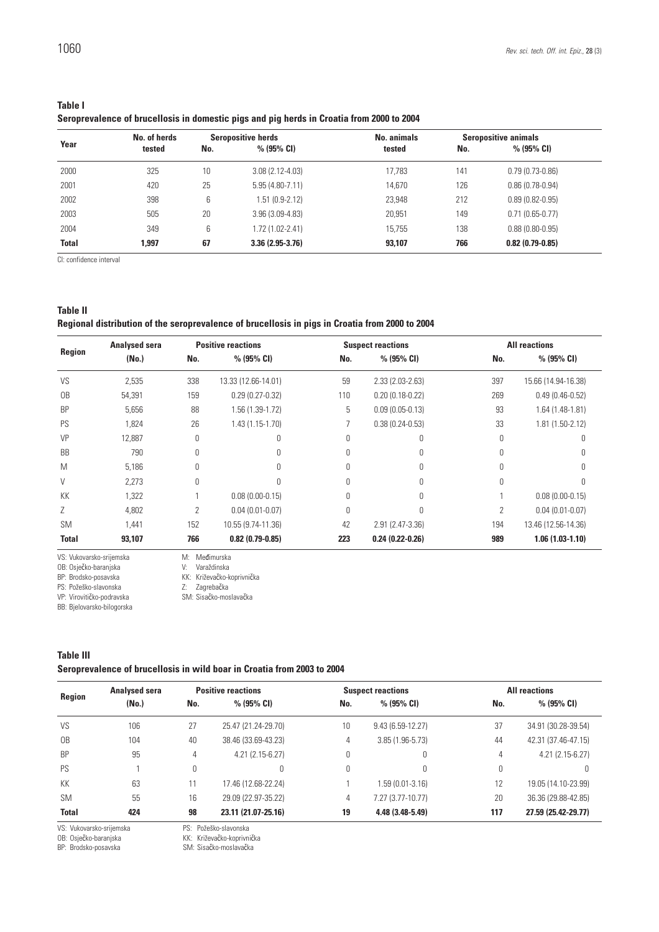| o se<br>۰. | w<br>۰.<br>۰. |  |
|------------|---------------|--|

| <b>Table I</b>                                                                            |
|-------------------------------------------------------------------------------------------|
| Seroprevalence of brucellosis in domestic pigs and pig herds in Croatia from 2000 to 2004 |

|              | No. of herds | <b>Seropositive herds</b> |                     | <b>No. animals</b> | <b>Seropositive animals</b> |                     |  |
|--------------|--------------|---------------------------|---------------------|--------------------|-----------------------------|---------------------|--|
| Year         | tested       | No.                       | $% (95\% CI)$       | tested             | No.                         | $% (95\% CI)$       |  |
| 2000         | 325          | 10                        | $3.08(2.12 - 4.03)$ | 17.783             | 141                         | $0.79(0.73-0.86)$   |  |
| 2001         | 420          | 25                        | $5.95(4.80-7.11)$   | 14.670             | 126                         | $0.86(0.78-0.94)$   |  |
| 2002         | 398          | 6                         | 1.51 (0.9-2.12)     | 23.948             | 212                         | $0.89(0.82 - 0.95)$ |  |
| 2003         | 505          | 20                        | $3.96(3.09-4.83)$   | 20,951             | 149                         | $0.71(0.65-0.77)$   |  |
| 2004         | 349          | 6                         | 1.72 (1.02-2.41)    | 15.755             | 138                         | $0.88(0.80 - 0.95)$ |  |
| <b>Total</b> | 1.997        | 67                        | $3.36(2.95-3.76)$   | 93,107             | 766                         | $0.82(0.79-0.85)$   |  |

CI: confidence interval

| Table II                                                                                        |  |
|-------------------------------------------------------------------------------------------------|--|
| Regional distribution of the seroprevalence of brucellosis in pigs in Croatia from 2000 to 2004 |  |

| <b>Analysed sera</b>     |        | <b>Positive reactions</b> |                     |          | <b>Suspect reactions</b> | <b>All reactions</b> |                     |  |
|--------------------------|--------|---------------------------|---------------------|----------|--------------------------|----------------------|---------------------|--|
| Region                   | (No.)  | No.                       | $% (95\% CI)$       | No.      | % (95% CI)               | No.                  | % (95% CI)          |  |
| VS                       | 2,535  | 338                       | 13.33 (12.66-14.01) | 59       | $2.33(2.03 - 2.63)$      | 397                  | 15.66 (14.94-16.38) |  |
| 0 <sub>B</sub>           | 54,391 | 159                       | $0.29(0.27 - 0.32)$ | 110      | $0.20(0.18-0.22)$        | 269                  | $0.49(0.46-0.52)$   |  |
| <b>BP</b>                | 5,656  | 88                        | 1.56 (1.39-1.72)    | 5        | $0.09(0.05-0.13)$        | 93                   | $1.64(1.48-1.81)$   |  |
| PS                       | 1,824  | 26                        | $1.43(1.15-1.70)$   |          | $0.38(0.24 - 0.53)$      | 33                   | 1.81 (1.50-2.12)    |  |
| VP                       | 12,887 | 0                         | 0                   | 0        | N                        |                      |                     |  |
| <b>BB</b>                | 790    | U                         |                     |          |                          |                      |                     |  |
| M                        | 5,186  | 0                         | 0                   |          |                          |                      |                     |  |
| V                        | 2,273  | $\Omega$                  |                     |          |                          |                      |                     |  |
| KK                       | 1,322  |                           | $0.08(0.00-0.15)$   |          |                          |                      | $0.08(0.00-0.15)$   |  |
| Ζ                        | 4,802  | 2                         | $0.04(0.01 - 0.07)$ | $\theta$ |                          | 2                    | $0.04(0.01 - 0.07)$ |  |
| <b>SM</b>                | 1.441  | 152                       | 10.55 (9.74-11.36)  | 42       | 2.91 (2.47-3.36)         | 194                  | 13.46 (12.56-14.36) |  |
| <b>Total</b>             | 93,107 | 766                       | $0.82(0.79-0.85)$   | 223      | $0.24(0.22-0.26)$        | 989                  | $1.06(1.03-1.10)$   |  |
| VS: Vukovarsko-srijemska |        | M:                        | Međimurska          |          |                          |                      |                     |  |

OB: Osječko-baranjska V: Varaždinska

PS: Požeško-slavonska Z: Zagrebačka

VP: Virovitičko-podravska SM: Sisačko-moslavačka

#### **Table III**

#### **Seroprevalence of brucellosis in wild boar in Croatia from 2003 to 2004**

| Region<br>VS<br>0 <sub>B</sub><br><b>BP</b><br>PS |       | <b>Analysed sera</b> |                     | <b>Positive reactions</b> |                    | <b>Suspect reactions</b> | <b>All reactions</b> |  |
|---------------------------------------------------|-------|----------------------|---------------------|---------------------------|--------------------|--------------------------|----------------------|--|
|                                                   | (No.) | No.                  | $% (95\% CI)$       | No.                       | $% (95\% CI)$      | No.                      | $% (95\% CI)$        |  |
|                                                   | 106   | 27                   | 25.47 (21.24-29.70) | 10                        | $9.43(6.59-12.27)$ | 37                       | 34.91 (30.28-39.54)  |  |
|                                                   | 104   | 40                   | 38.46 (33.69-43.23) | 4                         | $3.85(1.96-5.73)$  | 44                       | 42.31 (37.46-47.15)  |  |
|                                                   | 95    | 4                    | $4.21(2.15-6.27)$   | 0                         | 0                  | 4                        | $4.21(2.15-6.27)$    |  |
|                                                   |       | 0                    | 0                   | 0                         | 0                  | 0                        |                      |  |
| KK                                                | 63    | 11                   | 17.46 (12.68-22.24) |                           | $1.59(0.01-3.16)$  | 12                       | 19.05 (14.10-23.99)  |  |
| <b>SM</b>                                         | 55    | 16                   | 29.09 (22.97-35.22) | 4                         | 7.27 (3.77-10.77)  | 20                       | 36.36 (29.88-42.85)  |  |
| <b>Total</b>                                      | 424   | 98                   | 23.11 (21.07-25.16) | 19                        | 4.48 (3.48-5.49)   | 117                      | 27.59 (25.42-29.77)  |  |

VS: Vukovarsko-srijemska PS: Požeško-slavonska OB: Osječko-baranjska KK: Križevačko-koprivnička

BP: Brodsko-posavska SM: Sisačko-moslavačka

BP: Brodsko-posavska KK: Križevačko-koprivnička

BB: Bjelovarsko-bilogorska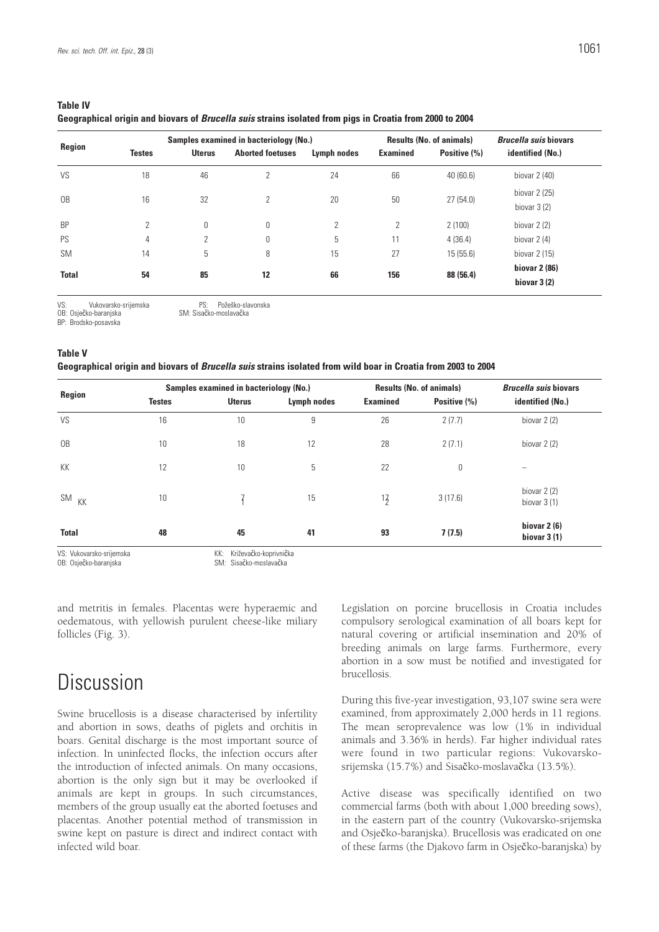| Region         |                |                | Samples examined in bacteriology (No.) | <b>Results (No. of animals)</b> |                 | <b>Brucella suis biovars</b> |                                 |
|----------------|----------------|----------------|----------------------------------------|---------------------------------|-----------------|------------------------------|---------------------------------|
|                | <b>Testes</b>  | <b>Uterus</b>  | <b>Aborted foetuses</b>                | Lymph nodes                     | <b>Examined</b> | Positive (%)                 | identified (No.)                |
| VS             | 18             | 46             | 2                                      | 24                              | 66              | 40(60.6)                     | biovar $2(40)$                  |
| 0 <sub>B</sub> | 16             | 32             | 2                                      | 20                              | 50              | 27(54.0)                     | biovar $2(25)$<br>biovar $3(2)$ |
| <b>BP</b>      | $\overline{2}$ | 0              | 0                                      | $\overline{2}$                  | 2               | 2(100)                       | biovar $2(2)$                   |
| PS             | 4              | $\overline{2}$ | 0                                      | 5                               | 11              | 4(36.4)                      | biovar $2(4)$                   |
| <b>SM</b>      | 14             | 5              | 8                                      | 15                              | 27              | 15(55.6)                     | biovar $2(15)$                  |
| <b>Total</b>   | 54             | 85             | 12                                     | 66                              | 156             | 88 (56.4)                    | biovar 2 (86)<br>biovar $3(2)$  |

| <b>Table IV</b>                                                                                                 |  |
|-----------------------------------------------------------------------------------------------------------------|--|
| Geographical origin and biovars of <i>Brucella suis</i> strains isolated from pigs in Croatia from 2000 to 2004 |  |

VS: Vukovarsko-srijemska PS: Požeško-slavonska<br>OB: Osječko-baranjska SM: Sisačko-moslavačka

BP: Brodsko-posavska

SM: Sisačko-moslavačka

#### **Table V**

#### **Geographical origin and biovars of** *Brucella suis* **strains isolated from wild boar in Croatia from 2003 to 2004**

|                  |               | Samples examined in bacteriology (No.) |             |                 | <b>Results (No. of animals)</b> | <b>Brucella suis biovars</b>   |  |
|------------------|---------------|----------------------------------------|-------------|-----------------|---------------------------------|--------------------------------|--|
| Region           | <b>Testes</b> | <b>Uterus</b>                          | Lymph nodes | <b>Examined</b> | Positive (%)                    | identified (No.)               |  |
| VS               | 16            | 10                                     | 9           | 26              | 2(7.7)                          | biovar $2(2)$                  |  |
| 0 <sub>B</sub>   | 10            | 18                                     | 12          | 28              | 2(7.1)                          | biovar $2(2)$                  |  |
| KK               | 12            | 10                                     | 5           | 22              | 0                               |                                |  |
| SM <sub>KK</sub> | 10            |                                        | 15          | 17              | 3(17.6)                         | biovar $2(2)$<br>biovar $3(1)$ |  |
| <b>Total</b>     | 48            | 45                                     | 41          | 93              | 7(7.5)                          | biovar $2(6)$<br>biovar $3(1)$ |  |

and metritis in females. Placentas were hyperaemic and oedematous, with yellowish purulent cheese-like miliary follicles (Fig. 3).

## Discussion

Swine brucellosis is a disease characterised by infertility and abortion in sows, deaths of piglets and orchitis in boars. Genital discharge is the most important source of infection. In uninfected flocks, the infection occurs after the introduction of infected animals. On many occasions, abortion is the only sign but it may be overlooked if animals are kept in groups. In such circumstances, members of the group usually eat the aborted foetuses and placentas. Another potential method of transmission in swine kept on pasture is direct and indirect contact with infected wild boar.

Legislation on porcine brucellosis in Croatia includes compulsory serological examination of all boars kept for natural covering or artificial insemination and 20% of breeding animals on large farms. Furthermore, every abortion in a sow must be notified and investigated for brucellosis.

During this five-year investigation, 93,107 swine sera were examined, from approximately 2,000 herds in 11 regions. The mean seroprevalence was low (1% in individual animals and 3.36% in herds). Far higher individual rates were found in two particular regions: Vukovarskosrijemska (15.7%) and Sisačko-moslavačka (13.5%).

Active disease was specifically identified on two commercial farms (both with about 1,000 breeding sows), in the eastern part of the country (Vukovarsko-srijemska and Osječko-baranjska). Brucellosis was eradicated on one of these farms (the Djakovo farm in Osječko-baranjska) by

VS: Vukovarsko-srijemska<br>
VS: Vokovarsko-srijemska<br>
OB: Osječko-baranjska<br>
SM: Sisačko-moslavačka SM: Sisačko-moslavačka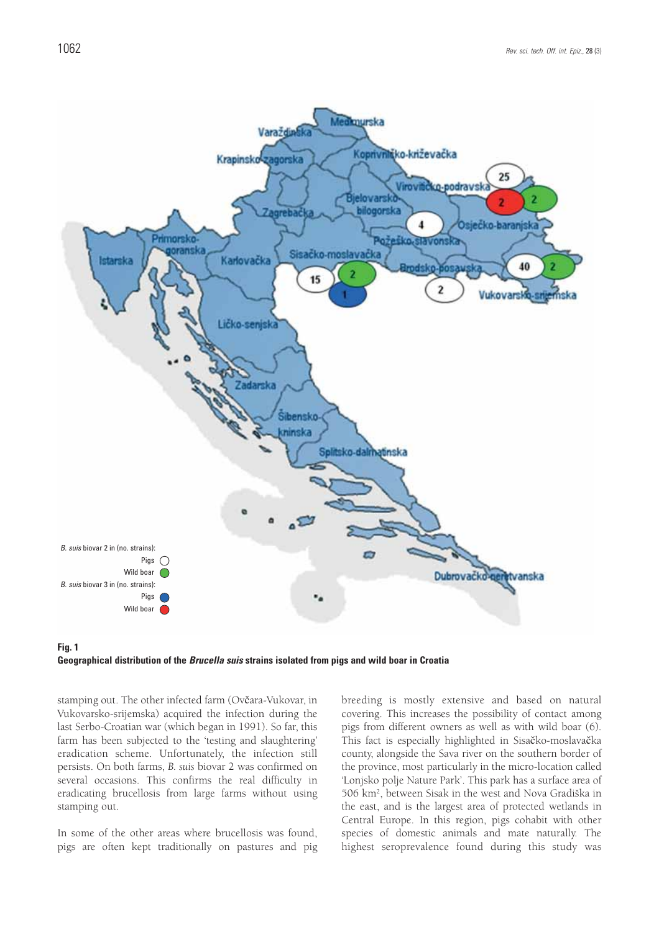

**Geographical distribution of the** *Brucella suis* **strains isolated from pigs and wild boar in Croatia** 

stamping out. The other infected farm (Ovčara-Vukovar, in Vukovarsko-srijemska) acquired the infection during the last Serbo-Croatian war (which began in 1991). So far, this farm has been subjected to the 'testing and slaughtering' eradication scheme. Unfortunately, the infection still persists. On both farms, *B. suis* biovar 2 was confirmed on several occasions. This confirms the real difficulty in eradicating brucellosis from large farms without using stamping out.

In some of the other areas where brucellosis was found, pigs are often kept traditionally on pastures and pig breeding is mostly extensive and based on natural covering. This increases the possibility of contact among pigs from different owners as well as with wild boar (6). This fact is especially highlighted in Sisačko-moslavačka county, alongside the Sava river on the southern border of the province, most particularly in the micro-location called 'Lonjsko polje Nature Park'. This park has a surface area of 506 km2, between Sisak in the west and Nova Gradiška in the east, and is the largest area of protected wetlands in Central Europe. In this region, pigs cohabit with other species of domestic animals and mate naturally. The highest seroprevalence found during this study was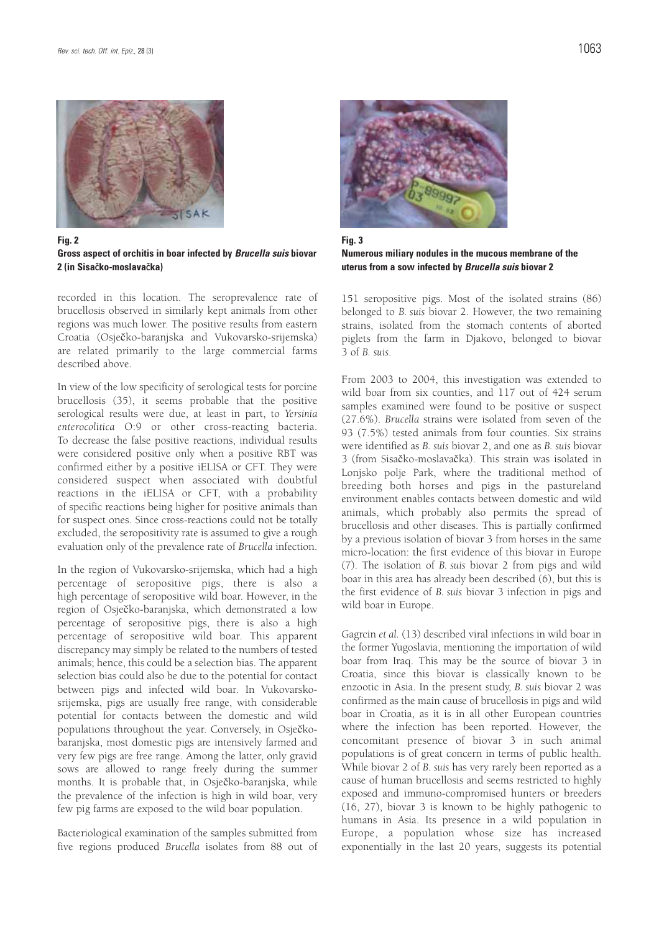

**Fig. 2 Gross aspect of orchitis in boar infected by** *Brucella suis* **biovar 2 (in Sisačko-moslavačka)**

recorded in this location. The seroprevalence rate of brucellosis observed in similarly kept animals from other regions was much lower. The positive results from eastern Croatia (Osječko-baranjska and Vukovarsko-srijemska) are related primarily to the large commercial farms described above.

In view of the low specificity of serological tests for porcine brucellosis (35), it seems probable that the positive serological results were due, at least in part, to *Yersinia enterocolitica* O:9 or other cross-reacting bacteria. To decrease the false positive reactions, individual results were considered positive only when a positive RBT was confirmed either by a positive iELISA or CFT. They were considered suspect when associated with doubtful reactions in the iELISA or CFT, with a probability of specific reactions being higher for positive animals than for suspect ones. Since cross-reactions could not be totally excluded, the seropositivity rate is assumed to give a rough evaluation only of the prevalence rate of *Brucella* infection.

In the region of Vukovarsko-srijemska, which had a high percentage of seropositive pigs, there is also a high percentage of seropositive wild boar. However, in the region of Osječko-baranjska, which demonstrated a low percentage of seropositive pigs, there is also a high percentage of seropositive wild boar. This apparent discrepancy may simply be related to the numbers of tested animals; hence, this could be a selection bias. The apparent selection bias could also be due to the potential for contact between pigs and infected wild boar. In Vukovarskosrijemska, pigs are usually free range, with considerable potential for contacts between the domestic and wild populations throughout the year. Conversely, in Osječkobaranjska, most domestic pigs are intensively farmed and very few pigs are free range. Among the latter, only gravid sows are allowed to range freely during the summer months. It is probable that, in Osječko-baranjska, while the prevalence of the infection is high in wild boar, very few pig farms are exposed to the wild boar population.

Bacteriological examination of the samples submitted from five regions produced *Brucella* isolates from 88 out of



**Fig. 3 Numerous miliary nodules in the mucous membrane of the uterus from a sow infected by** *Brucella suis* **biovar 2**

151 seropositive pigs. Most of the isolated strains (86) belonged to *B. suis* biovar 2. However, the two remaining strains, isolated from the stomach contents of aborted piglets from the farm in Djakovo, belonged to biovar 3 of *B. suis*.

From 2003 to 2004, this investigation was extended to wild boar from six counties, and 117 out of 424 serum samples examined were found to be positive or suspect (27.6%). *Brucella* strains were isolated from seven of the 93 (7.5%) tested animals from four counties. Six strains were identified as *B. suis* biovar 2, and one as *B. suis* biovar 3 (from Sisačko-moslavačka). This strain was isolated in Lonjsko polje Park, where the traditional method of breeding both horses and pigs in the pastureland environment enables contacts between domestic and wild animals, which probably also permits the spread of brucellosis and other diseases. This is partially confirmed by a previous isolation of biovar 3 from horses in the same micro-location: the first evidence of this biovar in Europe (7). The isolation of *B. suis* biovar 2 from pigs and wild boar in this area has already been described (6), but this is the first evidence of *B. suis* biovar 3 infection in pigs and wild boar in Europe.

Gagrcin *et al.* (13) described viral infections in wild boar in the former Yugoslavia, mentioning the importation of wild boar from Iraq. This may be the source of biovar 3 in Croatia, since this biovar is classically known to be enzootic in Asia. In the present study, *B. suis* biovar 2 was confirmed as the main cause of brucellosis in pigs and wild boar in Croatia, as it is in all other European countries where the infection has been reported. However, the concomitant presence of biovar 3 in such animal populations is of great concern in terms of public health. While biovar 2 of *B. suis* has very rarely been reported as a cause of human brucellosis and seems restricted to highly exposed and immuno-compromised hunters or breeders (16, 27), biovar 3 is known to be highly pathogenic to humans in Asia. Its presence in a wild population in Europe, a population whose size has increased exponentially in the last 20 years, suggests its potential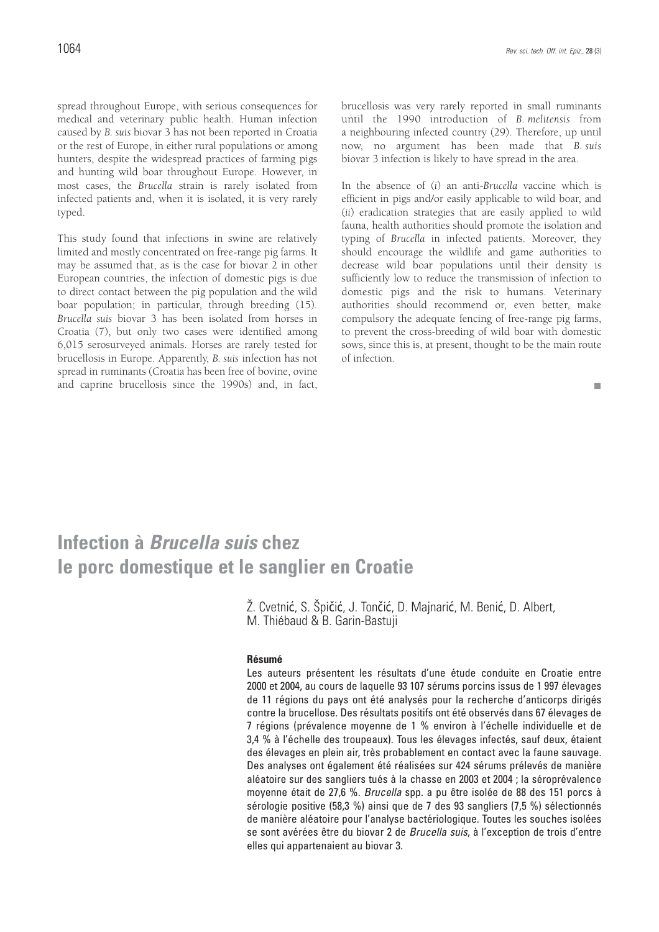spread throughout Europe, with serious consequences for medical and veterinary public health. Human infection caused by *B. suis* biovar 3 has not been reported in Croatia or the rest of Europe, in either rural populations or among hunters, despite the widespread practices of farming pigs and hunting wild boar throughout Europe. However, in most cases, the *Brucella* strain is rarely isolated from infected patients and, when it is isolated, it is very rarely typed.

This study found that infections in swine are relatively limited and mostly concentrated on free-range pig farms. It may be assumed that, as is the case for biovar 2 in other European countries, the infection of domestic pigs is due to direct contact between the pig population and the wild boar population; in particular, through breeding (15). *Brucella suis* biovar 3 has been isolated from horses in Croatia (7), but only two cases were identified among 6,015 serosurveyed animals. Horses are rarely tested for brucellosis in Europe. Apparently, *B. suis* infection has not spread in ruminants (Croatia has been free of bovine, ovine and caprine brucellosis since the 1990s) and, in fact, brucellosis was very rarely reported in small ruminants until the 1990 introduction of *B. melitensis* from a neighbouring infected country (29). Therefore, up until now, no argument has been made that *B. suis* biovar 3 infection is likely to have spread in the area.

In the absence of (*i*) an anti-*Brucella* vaccine which is efficient in pigs and/or easily applicable to wild boar, and (*ii*) eradication strategies that are easily applied to wild fauna, health authorities should promote the isolation and typing of *Brucella* in infected patients. Moreover, they should encourage the wildlife and game authorities to decrease wild boar populations until their density is sufficiently low to reduce the transmission of infection to domestic pigs and the risk to humans. Veterinary authorities should recommend or, even better, make compulsory the adequate fencing of free-range pig farms, to prevent the cross-breeding of wild boar with domestic sows, since this is, at present, thought to be the main route of infection.

ш

## **Infection à** *Brucella suis* **chez le porc domestique et le sanglier en Croatie**

Ž. Cvetnić, S. Špičić, J. Tončić, D. Majnarić, M. Benić, D. Albert, M. Thiébaud & B. Garin-Bastuji

#### **Résumé**

Les auteurs présentent les résultats d'une étude conduite en Croatie entre 2000 et 2004, au cours de laquelle 93 107 sérums porcins issus de 1 997 élevages de 11 régions du pays ont été analysés pour la recherche d'anticorps dirigés contre la brucellose. Des résultats positifs ont été observés dans 67 élevages de 7 régions (prévalence moyenne de 1 % environ à l'échelle individuelle et de 3,4 % à l'échelle des troupeaux). Tous les élevages infectés, sauf deux, étaient des élevages en plein air, très probablement en contact avec la faune sauvage. Des analyses ont également été réalisées sur 424 sérums prélevés de manière aléatoire sur des sangliers tués à la chasse en 2003 et 2004 ; la séroprévalence moyenne était de 27,6 %. *Brucella* spp. a pu être isolée de 88 des 151 porcs à sérologie positive (58,3 %) ainsi que de 7 des 93 sangliers (7,5 %) sélectionnés de manière aléatoire pour l'analyse bactériologique. Toutes les souches isolées se sont avérées être du biovar 2 de *Brucella suis*, à l'exception de trois d'entre elles qui appartenaient au biovar 3.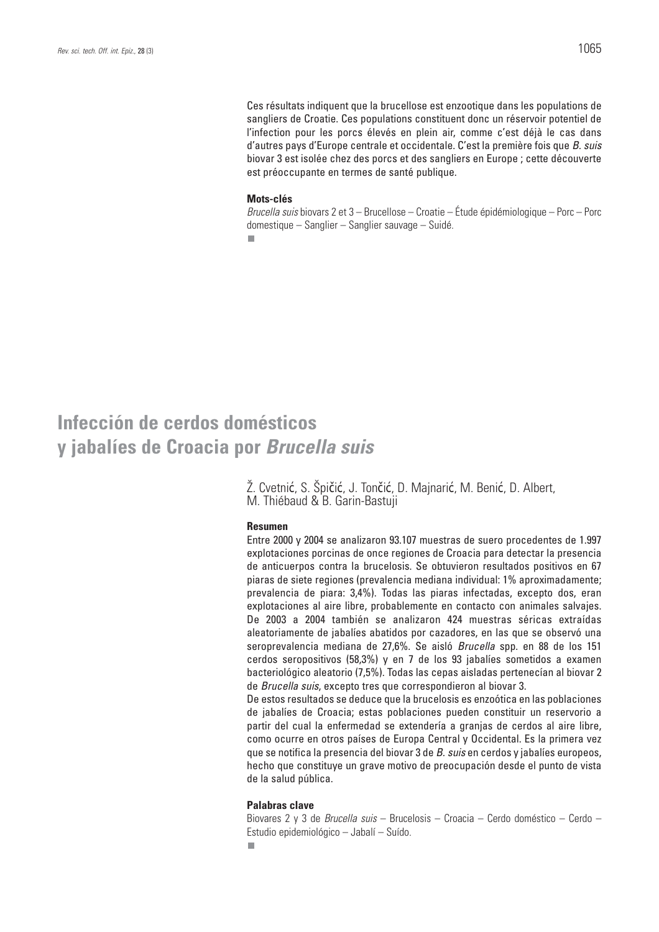Ces résultats indiquent que la brucellose est enzootique dans les populations de sangliers de Croatie. Ces populations constituent donc un réservoir potentiel de l'infection pour les porcs élevés en plein air, comme c'est déjà le cas dans d'autres pays d'Europe centrale et occidentale. C'est la première fois que *B. suis* biovar 3 est isolée chez des porcs et des sangliers en Europe ; cette découverte est préoccupante en termes de santé publique.

#### **Mots-clés**

*Brucella suis* biovars 2 et 3 – Brucellose – Croatie – Étude épidémiologique – Porc – Porc domestique – Sanglier – Sanglier sauvage – Suidé.

 $\overline{\phantom{a}}$ 

### **Infección de cerdos domésticos y jabalíes de Croacia por** *Brucella suis*

Ž. Cvetnić, S. Špičić, J. Tončić, D. Majnarić, M. Benić, D. Albert, M. Thiébaud & B. Garin-Bastuji

#### **Resumen**

Entre 2000 y 2004 se analizaron 93.107 muestras de suero procedentes de 1.997 explotaciones porcinas de once regiones de Croacia para detectar la presencia de anticuerpos contra la brucelosis. Se obtuvieron resultados positivos en 67 piaras de siete regiones (prevalencia mediana individual: 1% aproximadamente; prevalencia de piara: 3,4%). Todas las piaras infectadas, excepto dos, eran explotaciones al aire libre, probablemente en contacto con animales salvajes. De 2003 a 2004 también se analizaron 424 muestras séricas extraídas aleatoriamente de jabalíes abatidos por cazadores, en las que se observó una seroprevalencia mediana de 27,6%. Se aisló *Brucella* spp. en 88 de los 151 cerdos seropositivos (58,3%) y en 7 de los 93 jabalíes sometidos a examen bacteriológico aleatorio (7,5%). Todas las cepas aisladas pertenecían al biovar 2 de *Brucella suis*, excepto tres que correspondieron al biovar 3.

De estos resultados se deduce que la brucelosis es enzoótica en las poblaciones de jabalíes de Croacia; estas poblaciones pueden constituir un reservorio a partir del cual la enfermedad se extendería a granjas de cerdos al aire libre, como ocurre en otros países de Europa Central y Occidental. Es la primera vez que se notifica la presencia del biovar 3 de *B. suis* en cerdos y jabalíes europeos, hecho que constituye un grave motivo de preocupación desde el punto de vista de la salud pública.

#### **Palabras clave**

Biovares 2 y 3 de *Brucella suis* – Brucelosis – Croacia – Cerdo doméstico – Cerdo – Estudio epidemiológico – Jabalí – Suído.

п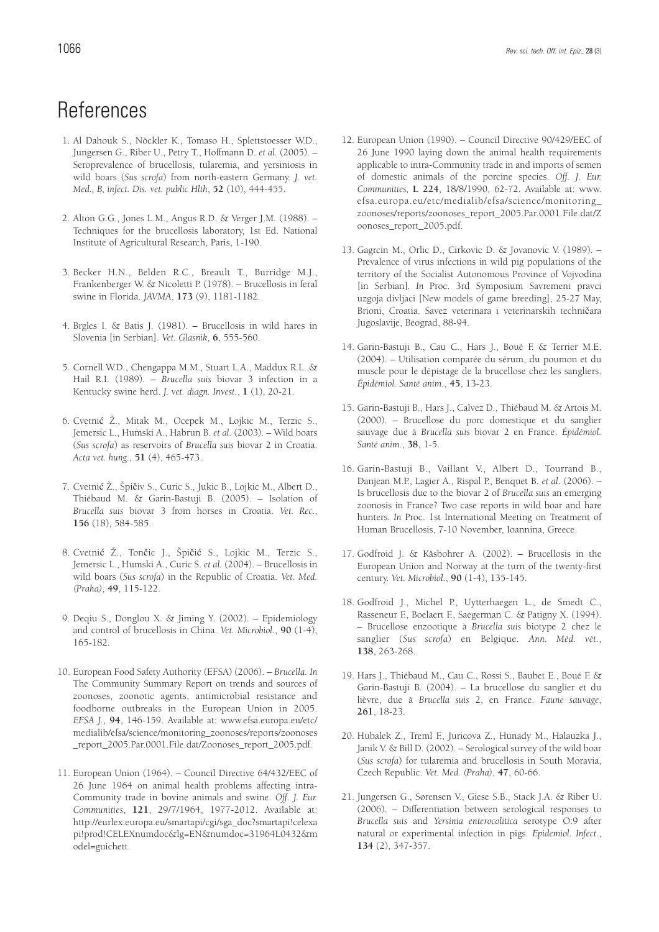## References

- 1. Al Dahouk S., Nöckler K., Tomaso H., Splettstoesser W.D., Jungersen G., Riber U., Petry T., Hoffmann D. *et al.* (2005). – Seroprevalence of brucellosis, tularemia, and yersiniosis in wild boars (*Sus scrofa*) from north-eastern Germany. *J. vet. Med., B, infect. Dis. vet. public Hlth*, **52** (10), 444-455.
- 2. Alton G.G., Jones L.M., Angus R.D. & Verger J.M. (1988). Techniques for the brucellosis laboratory, 1st Ed. National Institute of Agricultural Research, Paris, 1-190.
- 3. Becker H.N., Belden R.C., Breault T., Burridge M.J., Frankenberger W. & Nicoletti P. (1978). – Brucellosis in feral swine in Florida. *JAVMA*, **173** (9), 1181-1182.
- 4. Brgles I. & Batis J. (1981). Brucellosis in wild hares in Slovenia [in Serbian]. *Vet. Glasnik*, **6**, 555-560.
- 5. Cornell W.D., Chengappa M.M., Stuart L.A., Maddux R.L. & Hail R.I. (1989). – *Brucella suis* biovar 3 infection in a Kentucky swine herd. *J. vet. diagn. Invest.*, **1** (1), 20-21.
- 6. Cvetnić Ž., Mitak M., Ocepek M., Lojkic M., Terzic S., Jemersic L., Humski A., Habrun B. *et al.* (2003). – Wild boars (*Sus scrofa*) as reservoirs of *Brucella suis* biovar 2 in Croatia. *Acta vet. hung.*, **51** (4), 465-473.
- 7. Cvetnić Ž., Špičiv S., Curic S., Jukic B., Lojkic M., Albert D., Thiébaud M. & Garin-Bastuji B. (2005). – Isolation of *Brucella suis* biovar 3 from horses in Croatia. *Vet. Rec.*, **156** (18), 584-585.
- 8. Cvetnić Ž., Tončic J., Špičić S., Lojkic M., Terzic S., Jemersic L., Humski A., Curic S. *et al.* (2004). – Brucellosis in wild boars (*Sus scrofa*) in the Republic of Croatia. *Vet. Med. (Praha)*, **49**, 115-122.
- 9. Deqiu S., Donglou X. & Jiming Y. (2002). Epidemiology and control of brucellosis in China. *Vet. Microbiol.*, **90** (1-4), 165-182.
- 10. European Food Safety Authority (EFSA) (2006). *Brucella. In* The Community Summary Report on trends and sources of zoonoses, zoonotic agents, antimicrobial resistance and foodborne outbreaks in the European Union in 2005. *EFSA J.*, **94**, 146-159. Available at: www.efsa.europa.eu/etc/ medialib/efsa/science/monitoring\_zoonoses/reports/zoonoses \_report\_2005.Par.0001.File.dat/Zoonoses\_report\_2005.pdf.
- 11. European Union (1964). Council Directive 64/432/EEC of 26 June 1964 on animal health problems affecting intra-Community trade in bovine animals and swine. *Off. J. Eur. Communities*, **121**, 29/7/1964, 1977-2012. Available at: http://eurlex.europa.eu/smartapi/cgi/sga\_doc?smartapi!celexa pi!prod!CELEXnumdoc&lg=EN&numdoc=31964L0432&m odel=guichett.
- 12. European Union (1990). Council Directive 90/429/EEC of 26 June 1990 laying down the animal health requirements applicable to intra-Community trade in and imports of semen of domestic animals of the porcine species. *Off. J. Eur. Communities,* **L 224**, 18/8/1990, 62-72. Available at: www. efsa.europa.eu/etc/medialib/efsa/science/monitoring\_ zoonoses/reports/zoonoses\_report\_2005.Par.0001.File.dat/Z oonoses\_report\_2005.pdf.
- 13. Gagrcin M., Orlic D., Cirkovic D. & Jovanovic V. (1989). Prevalence of virus infections in wild pig populations of the territory of the Socialist Autonomous Province of Vojvodina [in Serbian]*. In* Proc. 3rd Symposium Savremeni pravci uzgoja divljaci [New models of game breeding], 25-27 May, Brioni, Croatia. Savez veterinara i veterinarskih techničara Jugoslavije, Beograd, 88-94.
- 14. Garin-Bastuji B., Cau C., Hars J., Boué F. & Terrier M.E. (2004). – Utilisation comparée du sérum, du poumon et du muscle pour le dépistage de la brucellose chez les sangliers. *Épidémiol. Santé anim.*, **45**, 13-23.
- 15. Garin-Bastuji B., Hars J., Calvez D., Thiébaud M. & Artois M. (2000). – Brucellose du porc domestique et du sanglier sauvage due à *Brucella suis* biovar 2 en France. *Épidémiol. Santé anim.*, **38**, 1-5.
- 16. Garin-Bastuji B., Vaillant V., Albert D., Tourrand B., Danjean M.P., Lagier A., Rispal P., Benquet B. *et al.* (2006). – Is brucellosis due to the biovar 2 of *Brucella suis* an emerging zoonosis in France? Two case reports in wild boar and hare hunters*. In* Proc. 1st International Meeting on Treatment of Human Brucellosis, 7-10 November, Ioannina, Greece.
- 17. Godfroid J. & Käsbohrer A. (2002). Brucellosis in the European Union and Norway at the turn of the twenty-first century. *Vet. Microbiol.*, **90** (1-4), 135-145.
- 18. Godfroid J., Michel P., Uytterhaegen L., de Smedt C., Rasseneur F., Boelaert F., Saegerman C. & Patigny X. (1994). – Brucellose enzootique à *Brucella suis* biotype 2 chez le sanglier (*Sus scrofa*) en Belgique. *Ann. Méd. vét.*, **138**, 263-268.
- 19. Hars J., Thiébaud M., Cau C., Rossi S., Baubet E., Boué F. & Garin-Bastuji B. (2004). – La brucellose du sanglier et du lièvre, due à *Brucella suis* 2, en France. *Faune sauvage*, **261**, 18-23.
- 20. Hubalek Z., Treml F., Juricova Z., Hunady M., Halauzka J., Janik V. & Bill D. (2002). – Serological survey of the wild boar (*Sus scrofa*) for tularemia and brucellosis in South Moravia, Czech Republic. *Vet. Med. (Praha)*, **47**, 60-66.
- 21. Jungersen G., Sørensen V., Giese S.B., Stack J.A. & Riber U. (2006). – Differentiation between serological responses to *Brucella suis* and *Yersinia enterocolitica* serotype O:9 after natural or experimental infection in pigs. *Epidemiol. Infect*., **134** (2), 347-357.